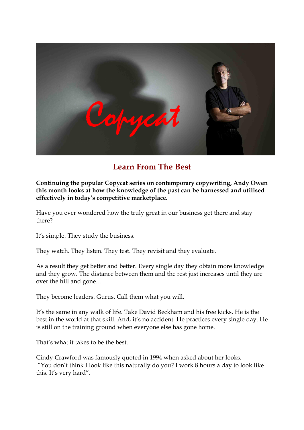

## **Learn From The Best**

**Continuing the popular Copycat series on contemporary copywriting, Andy Owen this month looks at how the knowledge of the past can be harnessed and utilised effectively in today's competitive marketplace.**

Have you ever wondered how the truly great in our business get there and stay there?

It's simple. They study the business.

They watch. They listen. They test. They revisit and they evaluate.

As a result they get better and better. Every single day they obtain more knowledge and they grow. The distance between them and the rest just increases until they are over the hill and gone…

They become leaders. Gurus. Call them what you will.

It's the same in any walk of life. Take David Beckham and his free kicks. He is the best in the world at that skill. And, it's no accident. He practices every single day. He is still on the training ground when everyone else has gone home.

That's what it takes to be the best.

Cindy Crawford was famously quoted in 1994 when asked about her looks. "You don't think I look like this naturally do you? I work 8 hours a day to look like this. It's very hard".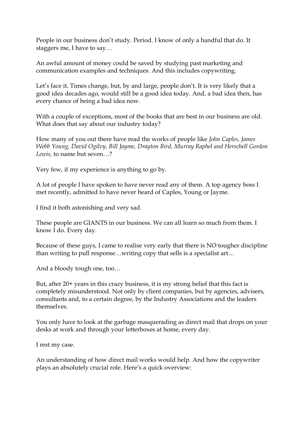People in our business don't study. Period. I know of only a handful that do. It staggers me, I have to say…

An awful amount of money could be saved by studying past marketing and communication examples and techniques. And this includes copywriting.

Let's face it. Times change, but, by and large, people don't. It is very likely that a good idea decades ago, would still be a good idea today. And, a bad idea then, has every chance of being a bad idea now.

With a couple of exceptions, most of the books that are best in our business are old. What does that say about our industry today?

How many of you out there have read the works of people like *John Caples, James Webb Young, David Ogilvy, Bill Jayme, Drayton Bird, Murray Raphel and Herschell Gordon Lewis,* to name but seven…?

Very few, if my experience is anything to go by.

A lot of people I have spoken to have never read any of them. A top agency boss I met recently, admitted to have never heard of Caples, Young or Jayme.

I find it both astonishing and very sad.

These people are GIANTS in our business. We can all learn so much from them. I know I do. Every day.

Because of these guys, I came to realise very early that there is NO tougher discipline than writing to pull response…writing copy that sells is a specialist art…

And a bloody tough one, too…

But, after 20+ years in this crazy business, it is my strong belief that this fact is completely misunderstood. Not only by client companies, but by agencies, advisers, consultants and, to a certain degree, by the Industry Associations and the leaders themselves.

You only have to look at the garbage masquerading as direct mail that drops on your desks at work and through your letterboxes at home, every day.

I rest my case.

An understanding of how direct mail works would help. And how the copywriter plays an absolutely crucial role. Here's a quick overview: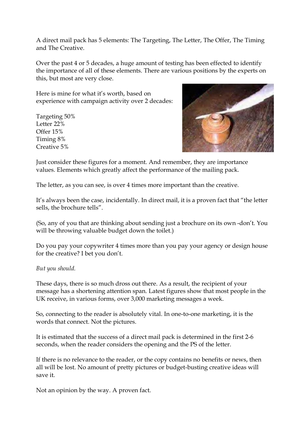A direct mail pack has 5 elements: The Targeting, The Letter, The Offer, The Timing and The Creative.

Over the past 4 or 5 decades, a huge amount of testing has been effected to identify the importance of all of these elements. There are various positions by the experts on this, but most are very close.

Here is mine for what it's worth, based on experience with campaign activity over 2 decades:

Targeting 50% Letter 22% Offer 15% Timing 8% Creative 5%



Just consider these figures for a moment. And remember, they are importance values. Elements which greatly affect the performance of the mailing pack.

The letter, as you can see, is over 4 times more important than the creative.

It's always been the case, incidentally. In direct mail, it is a proven fact that "the letter sells, the brochure tells".

(So, any of you that are thinking about sending just a brochure on its own -don't. You will be throwing valuable budget down the toilet.)

Do you pay your copywriter 4 times more than you pay your agency or design house for the creative? I bet you don't.

*But you should.*

These days, there is so much dross out there. As a result, the recipient of your message has a shortening attention span. Latest figures show that most people in the UK receive, in various forms, over 3,000 marketing messages a week.

So, connecting to the reader is absolutely vital. In one-to-one marketing, it is the words that connect. Not the pictures.

It is estimated that the success of a direct mail pack is determined in the first 2-6 seconds, when the reader considers the opening and the PS of the letter.

If there is no relevance to the reader, or the copy contains no benefits or news, then all will be lost. No amount of pretty pictures or budget-busting creative ideas will save it.

Not an opinion by the way. A proven fact.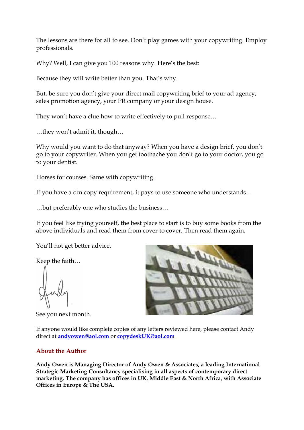The lessons are there for all to see. Don't play games with your copywriting. Employ professionals.

Why? Well, I can give you 100 reasons why. Here's the best:

Because they will write better than you. That's why.

But, be sure you don't give your direct mail copywriting brief to your ad agency, sales promotion agency, your PR company or your design house.

They won't have a clue how to write effectively to pull response...<br>...they won't admit it, though...

Why would you want to do that anyway? When you have a design brief, you don't go to your copywriter. When you get toothache you don't go to your doctor, you go to your dentist.

Horses for courses. Same with copywriting.

If you have a dm copy requirement, it pays to use someone who understands… …but preferably one who studies the business…

If you feel like trying yourself, the best place to start is to buy some books from the above individuals and read them from cover to cover. Then read them again.

You'll not get better advice.

Keep the faith…

See you next month.



If anyone would like complete copies of any letters reviewed here, please contact Andy direct at **[andyowen@aol.com](mailto:andyowen@aol.com)** or **[copydeskUK@aol.com](mailto:copydeskUK@aol.com)** 

## **About the Author**

**Andy Owen is Managing Director of Andy Owen & Associates, a leading International Strategic Marketing Consultancy specialising in all aspects of contemporary direct marketing. The company has offices in UK, Middle East & North Africa, with Associate Offices in Europe & The USA.**